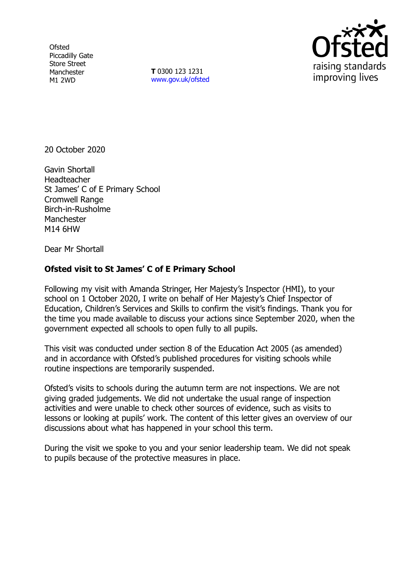**Ofsted** Piccadilly Gate Store Street Manchester M1 2WD

**T** 0300 123 1231 [www.gov.uk/ofsted](http://www.gov.uk/ofsted)



20 October 2020

Gavin Shortall Headteacher St James' C of E Primary School Cromwell Range Birch-in-Rusholme Manchester M14 6HW

Dear Mr Shortall

## **Ofsted visit to St James' C of E Primary School**

Following my visit with Amanda Stringer, Her Majesty's Inspector (HMI), to your school on 1 October 2020, I write on behalf of Her Majesty's Chief Inspector of Education, Children's Services and Skills to confirm the visit's findings. Thank you for the time you made available to discuss your actions since September 2020, when the government expected all schools to open fully to all pupils.

This visit was conducted under section 8 of the Education Act 2005 (as amended) and in accordance with Ofsted's published procedures for visiting schools while routine inspections are temporarily suspended.

Ofsted's visits to schools during the autumn term are not inspections. We are not giving graded judgements. We did not undertake the usual range of inspection activities and were unable to check other sources of evidence, such as visits to lessons or looking at pupils' work. The content of this letter gives an overview of our discussions about what has happened in your school this term.

During the visit we spoke to you and your senior leadership team. We did not speak to pupils because of the protective measures in place.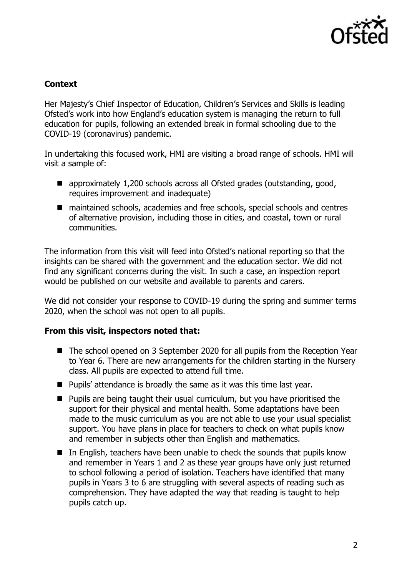

## **Context**

Her Majesty's Chief Inspector of Education, Children's Services and Skills is leading Ofsted's work into how England's education system is managing the return to full education for pupils, following an extended break in formal schooling due to the COVID-19 (coronavirus) pandemic.

In undertaking this focused work, HMI are visiting a broad range of schools. HMI will visit a sample of:

- approximately 1,200 schools across all Ofsted grades (outstanding, good, requires improvement and inadequate)
- maintained schools, academies and free schools, special schools and centres of alternative provision, including those in cities, and coastal, town or rural communities.

The information from this visit will feed into Ofsted's national reporting so that the insights can be shared with the government and the education sector. We did not find any significant concerns during the visit. In such a case, an inspection report would be published on our website and available to parents and carers.

We did not consider your response to COVID-19 during the spring and summer terms 2020, when the school was not open to all pupils.

## **From this visit, inspectors noted that:**

- The school opened on 3 September 2020 for all pupils from the Reception Year to Year 6. There are new arrangements for the children starting in the Nursery class. All pupils are expected to attend full time.
- Pupils' attendance is broadly the same as it was this time last year.
- Pupils are being taught their usual curriculum, but you have prioritised the support for their physical and mental health. Some adaptations have been made to the music curriculum as you are not able to use your usual specialist support. You have plans in place for teachers to check on what pupils know and remember in subjects other than English and mathematics.
- In English, teachers have been unable to check the sounds that pupils know and remember in Years 1 and 2 as these year groups have only just returned to school following a period of isolation. Teachers have identified that many pupils in Years 3 to 6 are struggling with several aspects of reading such as comprehension. They have adapted the way that reading is taught to help pupils catch up.